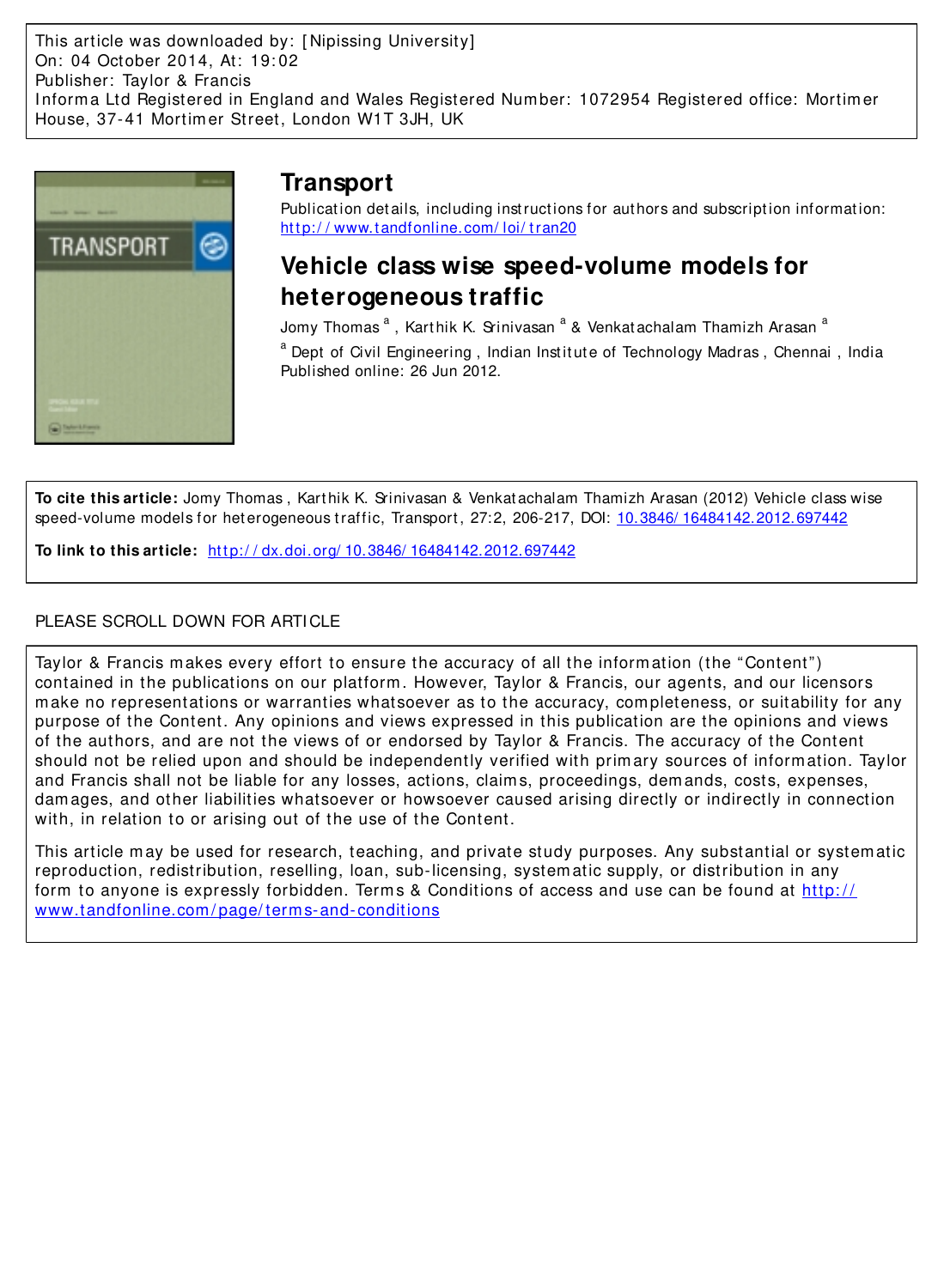

# **Transport**

Publication details, including instructions for authors and subscription information: http://www.tandfonline.com/loi/tran20

# **Vehicle class wise speed-volume models for heterogeneous traffic**

Jomy Thomas <sup>a</sup> , Karthik K. Srinivasan <sup>a</sup> & Venkatachalam Thamizh Arasan <sup>a</sup> <sup>a</sup> Dept of Civil Engineering , Indian Institute of Technology Madras , Chennai , India Published online: 26 Jun 2012.

**To cite this article:** Jomy Thomas , Kart hik K. Srinivasan & Venkat achalam Thamizh Arasan (2012) Vehicle class wise speed-volume models for het erogeneous t raffic, Transport , 27:2, 206-217, DOI: 10.3846/ 16484142.2012.697442

**To link to this article:** http://dx.doi.org/ 10.3846/ 16484142.2012.697442

# PLEASE SCROLL DOWN FOR ARTICLE

Taylor & Francis m akes every effort to ensure the accuracy of all the inform ation (the "Content") contained in the publications on our platform . However, Taylor & Francis, our agents, and our licensors m ake no representations or warranties whatsoever as to the accuracy, com pleteness, or suitability for any purpose of the Content. Any opinions and views expressed in this publication are the opinions and views of the authors, and are not the views of or endorsed by Taylor & Francis. The accuracy of the Content should not be relied upon and should be independently verified with prim ary sources of inform ation. Taylor and Francis shall not be liable for any losses, actions, claim s, proceedings, dem ands, costs, expenses, dam ages, and other liabilities whatsoever or howsoever caused arising directly or indirectly in connection with, in relation to or arising out of the use of the Content.

This article m ay be used for research, teaching, and private study purposes. Any substantial or system atic reproduction, redistribution, reselling, loan, sub-licensing, system atic supply, or distribution in any form to anyone is expressly forbidden. Terms & Conditions of access and use can be found at http:// www.tandfonline.com / page/ term s-and-conditions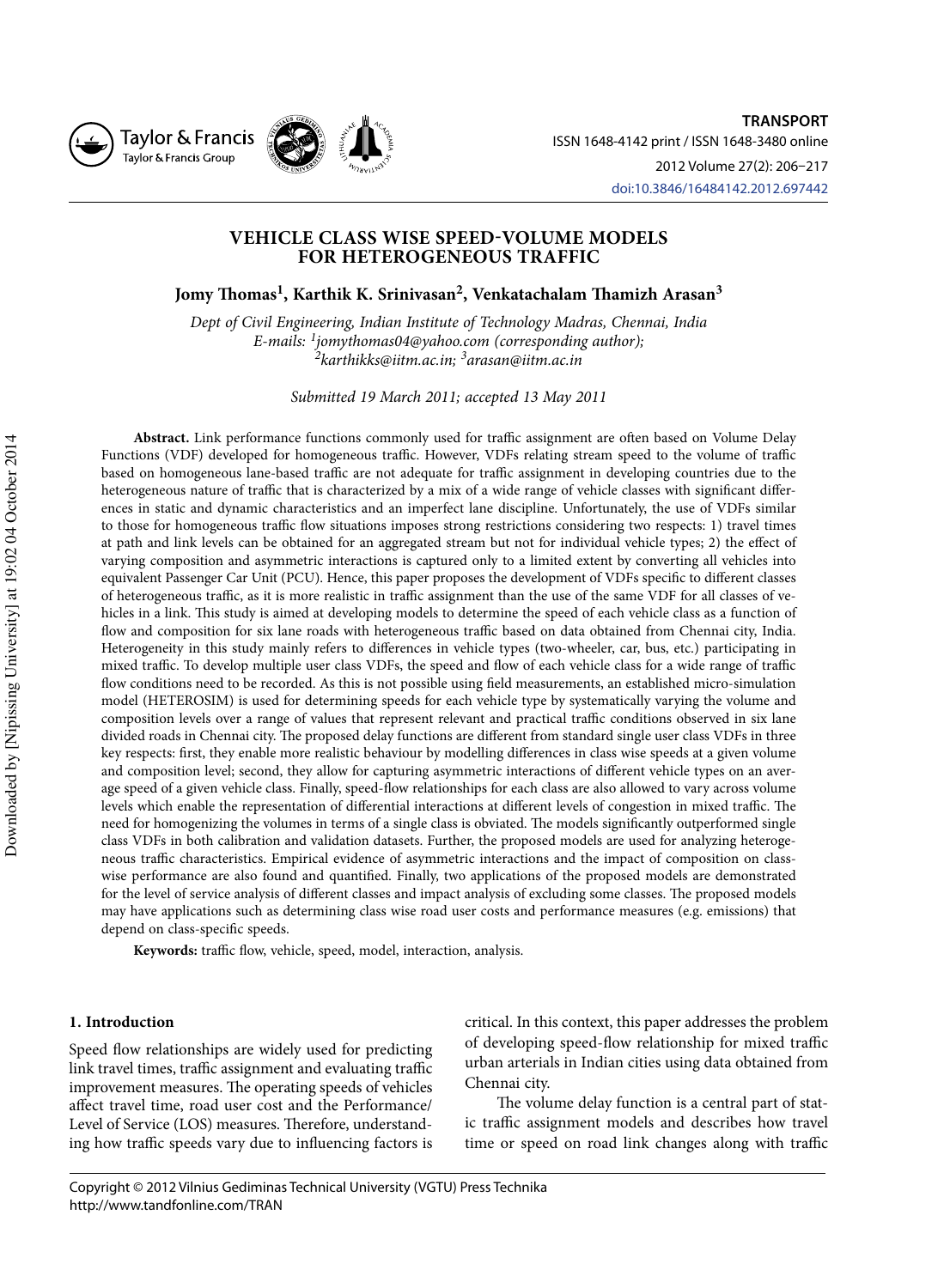

Taylor & Francis Taylor & Francis Group



# **VEHiclE clASS WiSE SpEED-VolUmE moDElS FoR HETERogEnEoUS TRAFFic**

**Jomy Thomas<sup>1</sup> , Karthik K. Srinivasan<sup>2</sup> , Venkatachalam Thamizh Arasan<sup>3</sup>**

Dept of Civil Engineering, Indian Institute of Technology Madras, Chennai, India E-mails: <sup>1</sup>jomythomas04@yahoo.com (corresponding author);  $^{2}$ karthikks@iitm.ac.in;  $^{3}$ arasan@iitm.ac.in

Submitted 19 March 2011; accepted 13 May 2011

**Abstract.** Link performance functions commonly used for traffic assignment are often based on Volume Delay Functions (VDF) developed for homogeneous traffic. However, VDFs relating stream speed to the volume of traffic based on homogeneous lane-based traffic are not adequate for traffic assignment in developing countries due to the heterogeneous nature of traffic that is characterized by a mix of a wide range of vehicle classes with significant differences in static and dynamic characteristics and an imperfect lane discipline. Unfortunately, the use of VDFs similar to those for homogeneous traffic flow situations imposes strong restrictions considering two respects: 1) travel times at path and link levels can be obtained for an aggregated stream but not for individual vehicle types; 2) the effect of varying composition and asymmetric interactions is captured only to a limited extent by converting all vehicles into equivalent Passenger Car Unit (PCU). Hence, this paper proposes the development of VDFs specific to different classes of heterogeneous traffic, as it is more realistic in traffic assignment than the use of the same VDF for all classes of vehicles in a link. This study is aimed at developing models to determine the speed of each vehicle class as a function of flow and composition for six lane roads with heterogeneous traffic based on data obtained from Chennai city, India. Heterogeneity in this study mainly refers to differences in vehicle types (two-wheeler, car, bus, etc.) participating in mixed traffic. To develop multiple user class VDFs, the speed and flow of each vehicle class for a wide range of traffic flow conditions need to be recorded. As this is not possible using field measurements, an established micro-simulation model (HETEROSIM) is used for determining speeds for each vehicle type by systematically varying the volume and composition levels over a range of values that represent relevant and practical traffic conditions observed in six lane divided roads in Chennai city. The proposed delay functions are different from standard single user class VDFs in three key respects: first, they enable more realistic behaviour by modelling differences in class wise speeds at a given volume and composition level; second, they allow for capturing asymmetric interactions of different vehicle types on an average speed of a given vehicle class. Finally, speed-flow relationships for each class are also allowed to vary across volume levels which enable the representation of differential interactions at different levels of congestion in mixed traffic. The need for homogenizing the volumes in terms of a single class is obviated. The models significantly outperformed single class VDFs in both calibration and validation datasets. Further, the proposed models are used for analyzing heterogeneous traffic characteristics. Empirical evidence of asymmetric interactions and the impact of composition on classwise performance are also found and quantified. Finally, two applications of the proposed models are demonstrated for the level of service analysis of different classes and impact analysis of excluding some classes. The proposed models may have applications such as determining class wise road user costs and performance measures (e.g. emissions) that depend on class-specific speeds.

**Keywords:** traffic flow, vehicle, speed, model, interaction, analysis.

# **1. introduction**

Speed flow relationships are widely used for predicting link travel times, traffic assignment and evaluating traffic improvement measures. The operating speeds of vehicles affect travel time, road user cost and the Performance/ Level of Service (LOS) measures. Therefore, understanding how traffic speeds vary due to influencing factors is critical. In this context, this paper addresses the problem of developing speed-flow relationship for mixed traffic urban arterials in Indian cities using data obtained from Chennai city.

The volume delay function is a central part of static traffic assignment models and describes how travel time or speed on road link changes along with traffic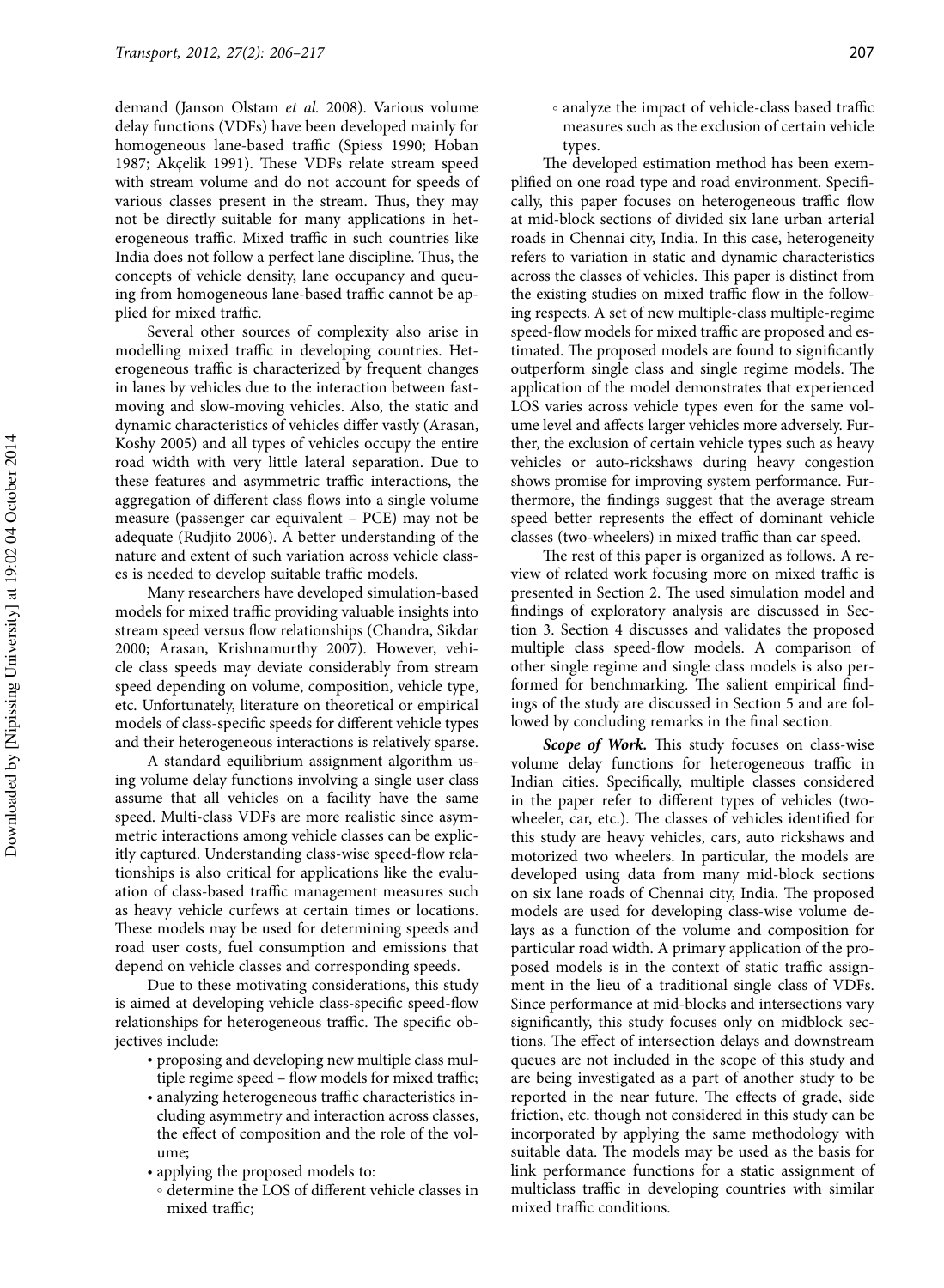demand (Janson Olstam et al. 2008). Various volume delay functions (VDFs) have been developed mainly for homogeneous lane-based traffic (Spiess 1990; Hoban 1987; Akçelik 1991). These VDFs relate stream speed with stream volume and do not account for speeds of various classes present in the stream. Thus, they may not be directly suitable for many applications in heterogeneous traffic. Mixed traffic in such countries like India does not follow a perfect lane discipline. Thus, the concepts of vehicle density, lane occupancy and queuing from homogeneous lane-based traffic cannot be applied for mixed traffic.

Several other sources of complexity also arise in modelling mixed traffic in developing countries. Heterogeneous traffic is characterized by frequent changes in lanes by vehicles due to the interaction between fastmoving and slow-moving vehicles. Also, the static and dynamic characteristics of vehicles differ vastly (Arasan, Koshy 2005) and all types of vehicles occupy the entire road width with very little lateral separation. Due to these features and asymmetric traffic interactions, the aggregation of different class flows into a single volume measure (passenger car equivalent – PCE) may not be adequate (Rudjito 2006). A better understanding of the nature and extent of such variation across vehicle classes is needed to develop suitable traffic models.

Many researchers have developed simulation-based models for mixed traffic providing valuable insights into stream speed versus flow relationships (Chandra, Sikdar 2000; Arasan, Krishnamurthy 2007). However, vehicle class speeds may deviate considerably from stream speed depending on volume, composition, vehicle type, etc. Unfortunately, literature on theoretical or empirical models of class-specific speeds for different vehicle types and their heterogeneous interactions is relatively sparse.

A standard equilibrium assignment algorithm using volume delay functions involving a single user class assume that all vehicles on a facility have the same speed. Multi-class VDFs are more realistic since asymmetric interactions among vehicle classes can be explicitly captured. Understanding class-wise speed-flow relationships is also critical for applications like the evaluation of class-based traffic management measures such as heavy vehicle curfews at certain times or locations. These models may be used for determining speeds and road user costs, fuel consumption and emissions that depend on vehicle classes and corresponding speeds.

Due to these motivating considerations, this study is aimed at developing vehicle class-specific speed-flow relationships for heterogeneous traffic. The specific objectives include:

- • proposing and developing new multiple class multiple regime speed – flow models for mixed traffic;
- analyzing heterogeneous traffic characteristics including asymmetry and interaction across classes, the effect of composition and the role of the volume;
- applying the proposed models to:
- $\circ$  determine the LOS of different vehicle classes in mixed traffic;

· analyze the impact of vehicle-class based traffic measures such as the exclusion of certain vehicle types.

The developed estimation method has been exemplified on one road type and road environment. Specifically, this paper focuses on heterogeneous traffic flow at mid-block sections of divided six lane urban arterial roads in Chennai city, India. In this case, heterogeneity refers to variation in static and dynamic characteristics across the classes of vehicles. This paper is distinct from the existing studies on mixed traffic flow in the following respects. A set of new multiple-class multiple-regime speed-flow models for mixed traffic are proposed and estimated. The proposed models are found to significantly outperform single class and single regime models. The application of the model demonstrates that experienced LOS varies across vehicle types even for the same volume level and affects larger vehicles more adversely. Further, the exclusion of certain vehicle types such as heavy vehicles or auto-rickshaws during heavy congestion shows promise for improving system performance. Furthermore, the findings suggest that the average stream speed better represents the effect of dominant vehicle classes (two-wheelers) in mixed traffic than car speed.

The rest of this paper is organized as follows. A review of related work focusing more on mixed traffic is presented in Section 2. The used simulation model and findings of exploratory analysis are discussed in Section 3. Section 4 discusses and validates the proposed multiple class speed-flow models. A comparison of other single regime and single class models is also performed for benchmarking. The salient empirical findings of the study are discussed in Section 5 and are followed by concluding remarks in the final section.

*Scope of Work.* This study focuses on class-wise volume delay functions for heterogeneous traffic in Indian cities. Specifically, multiple classes considered in the paper refer to different types of vehicles (twowheeler, car, etc.). The classes of vehicles identified for this study are heavy vehicles, cars, auto rickshaws and motorized two wheelers. In particular, the models are developed using data from many mid-block sections on six lane roads of Chennai city, India. The proposed models are used for developing class-wise volume delays as a function of the volume and composition for particular road width. A primary application of the proposed models is in the context of static traffic assignment in the lieu of a traditional single class of VDFs. Since performance at mid-blocks and intersections vary significantly, this study focuses only on midblock sections. The effect of intersection delays and downstream queues are not included in the scope of this study and are being investigated as a part of another study to be reported in the near future. The effects of grade, side friction, etc. though not considered in this study can be incorporated by applying the same methodology with suitable data. The models may be used as the basis for link performance functions for a static assignment of multiclass traffic in developing countries with similar mixed traffic conditions.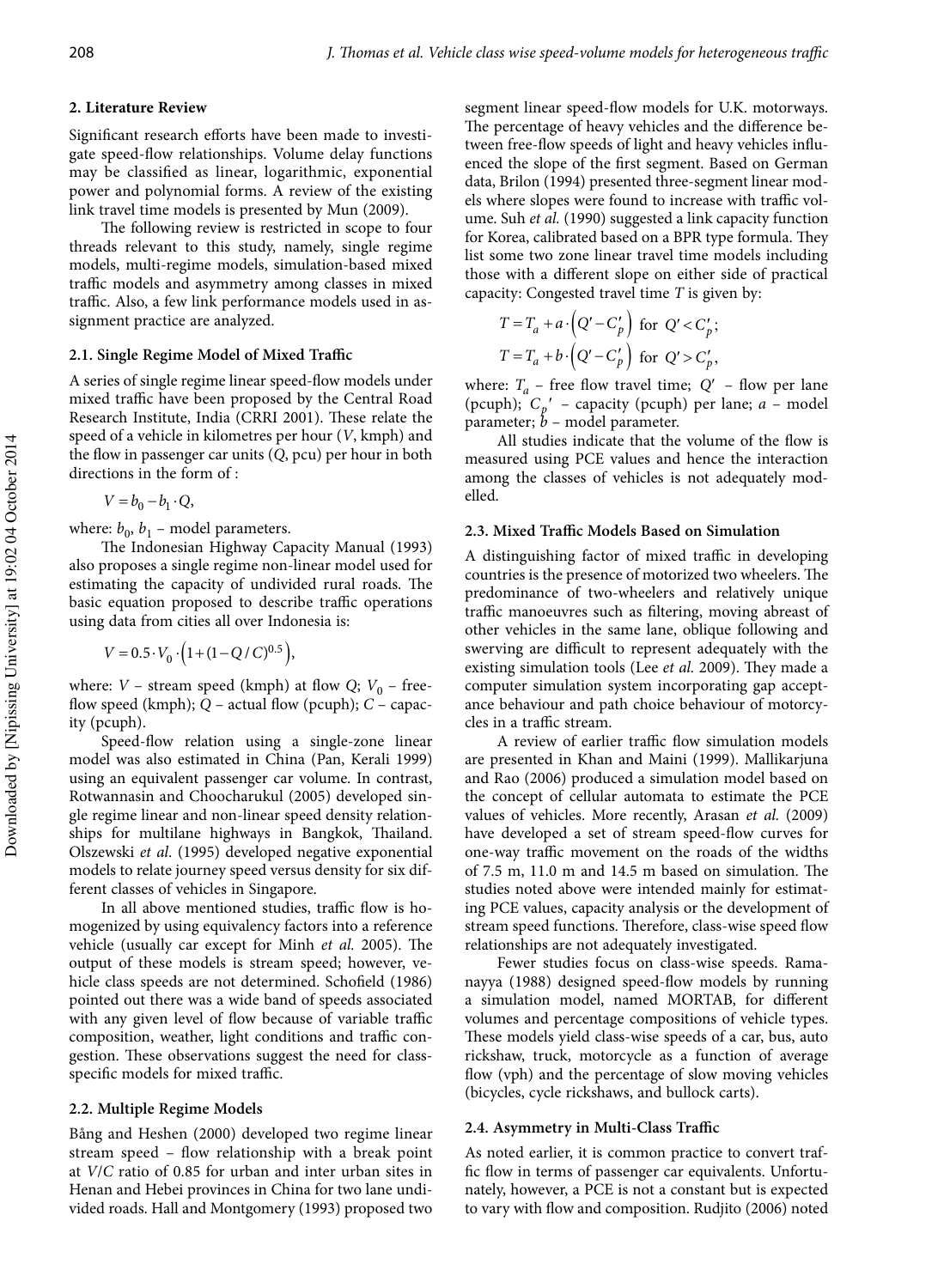### **2. literature Review**

Significant research efforts have been made to investigate speed-flow relationships. Volume delay functions may be classified as linear, logarithmic, exponential power and polynomial forms. A review of the existing link travel time models is presented by Mun (2009).

The following review is restricted in scope to four threads relevant to this study, namely, single regime models, multi-regime models, simulation-based mixed traffic models and asymmetry among classes in mixed traffic. Also, a few link performance models used in assignment practice are analyzed.

## **2.1. Single Regime Model of Mixed Traffic**

A series of single regime linear speed-flow models under mixed traffic have been proposed by the Central Road Research Institute, India (CRRI 2001). These relate the speed of a vehicle in kilometres per hour (V, kmph) and the flow in passenger car units (Q, pcu) per hour in both directions in the form of :

$$
V = b_0 - b_1 \cdot Q,
$$

where:  $b_0$ ,  $b_1$  – model parameters.

The Indonesian Highway Capacity Manual (1993) also proposes a single regime non-linear model used for estimating the capacity of undivided rural roads. The basic equation proposed to describe traffic operations using data from cities all over Indonesia is:

$$
V = 0.5 \cdot V_0 \cdot \left(1 + (1 - Q/C)^{0.5}\right),
$$

where:  $V$  – stream speed (kmph) at flow Q;  $V_0$  – freeflow speed (kmph);  $Q$  – actual flow (pcuph);  $C$  – capacity (pcuph).

Speed-flow relation using a single-zone linear model was also estimated in China (Pan, Kerali 1999) using an equivalent passenger car volume. In contrast, Rotwannasin and Choocharukul (2005) developed single regime linear and non-linear speed density relationships for multilane highways in Bangkok, Thailand. Olszewski et al. (1995) developed negative exponential models to relate journey speed versus density for six different classes of vehicles in Singapore.

In all above mentioned studies, traffic flow is homogenized by using equivalency factors into a reference vehicle (usually car except for Minh et al. 2005). The output of these models is stream speed; however, vehicle class speeds are not determined. Schofield (1986) pointed out there was a wide band of speeds associated with any given level of flow because of variable traffic composition, weather, light conditions and traffic congestion. These observations suggest the need for classspecific models for mixed traffic.

#### **2.2. Multiple Regime Models**

Bång and Heshen (2000) developed two regime linear stream speed – flow relationship with a break point at V/C ratio of 0.85 for urban and inter urban sites in Henan and Hebei provinces in China for two lane undivided roads. Hall and Montgomery (1993) proposed two

segment linear speed-flow models for U.K. motorways. The percentage of heavy vehicles and the difference between free-flow speeds of light and heavy vehicles influenced the slope of the first segment. Based on German data, Brilon (1994) presented three-segment linear models where slopes were found to increase with traffic volume. Suh et al. (1990) suggested a link capacity function for Korea, calibrated based on a BPR type formula. They list some two zone linear travel time models including those with a different slope on either side of practical capacity: Congested travel time  $T$  is given by:

$$
T = T_a + a \cdot (Q' - C'_p) \text{ for } Q' < C'_p;
$$
\n
$$
T = T_a + b \cdot (Q' - C'_p) \text{ for } Q' > C'_p,
$$

where:  $T_a$  – free flow travel time;  $Q'$  – flow per lane (pcuph);  $C_p'$  – capacity (pcuph) per lane;  $a$  – model parameter; b – model parameter.

All studies indicate that the volume of the flow is measured using PCE values and hence the interaction among the classes of vehicles is not adequately modelled.

## **2.3. Mixed Traffic Models Based on Simulation**

A distinguishing factor of mixed traffic in developing countries is the presence of motorized two wheelers. The predominance of two-wheelers and relatively unique traffic manoeuvres such as filtering, moving abreast of other vehicles in the same lane, oblique following and swerving are difficult to represent adequately with the existing simulation tools (Lee *et al.* 2009). They made a computer simulation system incorporating gap acceptance behaviour and path choice behaviour of motorcycles in a traffic stream.

A review of earlier traffic flow simulation models are presented in Khan and Maini (1999). Mallikarjuna and Rao (2006) produced a simulation model based on the concept of cellular automata to estimate the PCE values of vehicles. More recently, Arasan *et al.* (2009) have developed a set of stream speed-flow curves for one-way traffic movement on the roads of the widths of 7.5 m, 11.0 m and 14.5 m based on simulation. The studies noted above were intended mainly for estimating PCE values, capacity analysis or the development of stream speed functions. Therefore, class-wise speed flow relationships are not adequately investigated.

Fewer studies focus on class-wise speeds. Ramanayya (1988) designed speed-flow models by running a simulation model, named MORTAB, for different volumes and percentage compositions of vehicle types. These models yield class-wise speeds of a car, bus, auto rickshaw, truck, motorcycle as a function of average flow (vph) and the percentage of slow moving vehicles (bicycles, cycle rickshaws, and bullock carts).

#### **2.4. Asymmetry in Multi-Class Traffic**

As noted earlier, it is common practice to convert traffic flow in terms of passenger car equivalents. Unfortunately, however, a PCE is not a constant but is expected to vary with flow and composition. Rudjito (2006) noted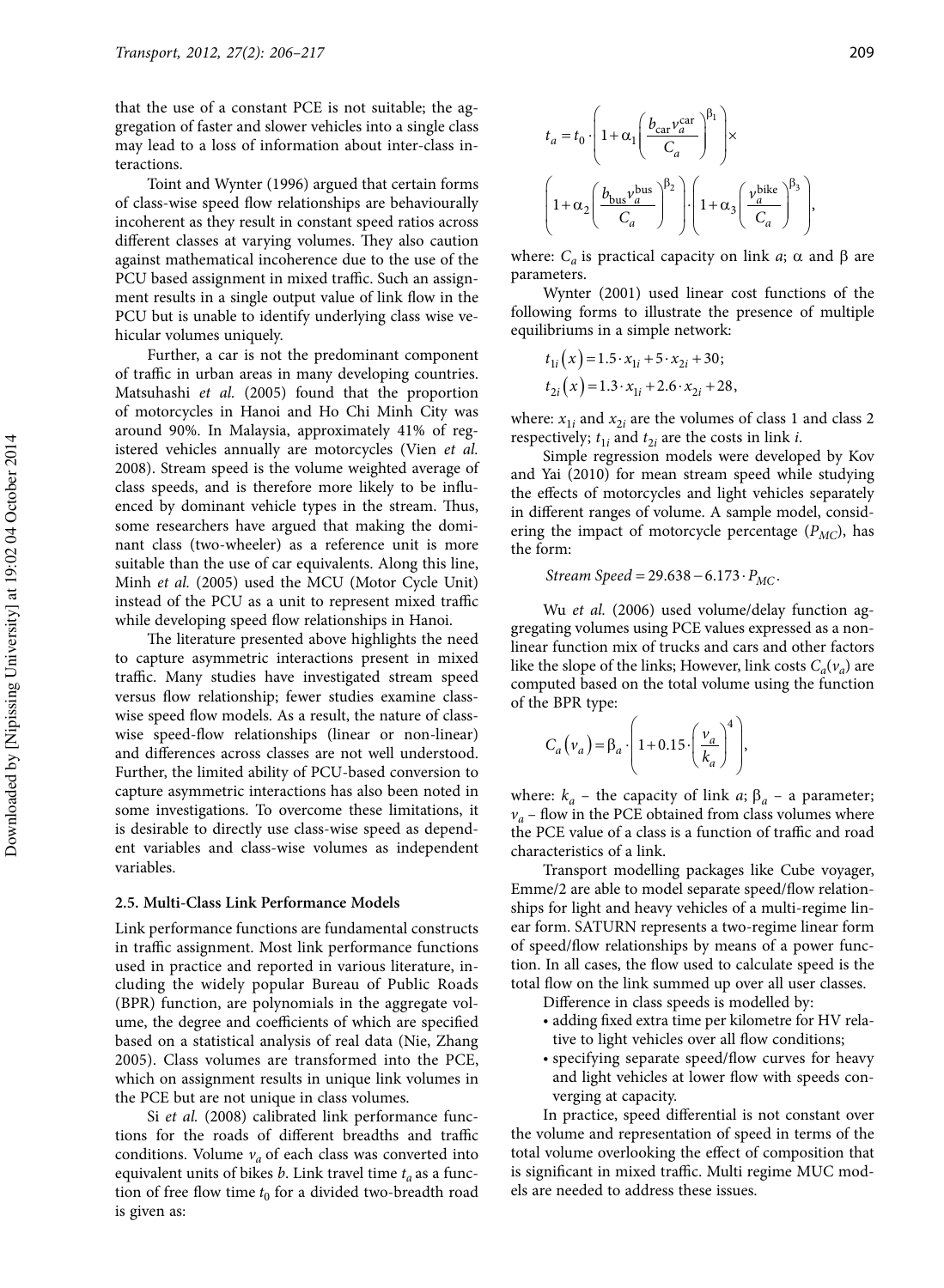that the use of a constant PCE is not suitable; the aggregation of faster and slower vehicles into a single class may lead to a loss of information about inter-class interactions.

Toint and Wynter (1996) argued that certain forms of class-wise speed flow relationships are behaviourally incoherent as they result in constant speed ratios across different classes at varying volumes. They also caution against mathematical incoherence due to the use of the PCU based assignment in mixed traffic. Such an assignment results in a single output value of link flow in the PCU but is unable to identify underlying class wise vehicular volumes uniquely.

Further, a car is not the predominant component of traffic in urban areas in many developing countries. Matsuhashi et al. (2005) found that the proportion of motorcycles in Hanoi and Ho Chi Minh City was around 90%. In Malaysia, approximately 41% of registered vehicles annually are motorcycles (Vien et al. 2008). Stream speed is the volume weighted average of class speeds, and is therefore more likely to be influenced by dominant vehicle types in the stream. Thus, some researchers have argued that making the dominant class (two-wheeler) as a reference unit is more suitable than the use of car equivalents. Along this line, Minh et al. (2005) used the MCU (Motor Cycle Unit) instead of the PCU as a unit to represent mixed traffic while developing speed flow relationships in Hanoi.

The literature presented above highlights the need to capture asymmetric interactions present in mixed traffic. Many studies have investigated stream speed versus flow relationship; fewer studies examine classwise speed flow models. As a result, the nature of classwise speed-flow relationships (linear or non-linear) and differences across classes are not well understood. Further, the limited ability of PCU-based conversion to capture asymmetric interactions has also been noted in some investigations. To overcome these limitations, it is desirable to directly use class-wise speed as dependent variables and class-wise volumes as independent variables.

#### **2.5. Multi-Class Link Performance Models**

Link performance functions are fundamental constructs in traffic assignment. Most link performance functions used in practice and reported in various literature, including the widely popular Bureau of Public Roads (BPR) function, are polynomials in the aggregate volume, the degree and coefficients of which are specified based on a statistical analysis of real data (Nie, Zhang 2005). Class volumes are transformed into the PCE, which on assignment results in unique link volumes in the PCE but are not unique in class volumes.

Si et al. (2008) calibrated link performance functions for the roads of different breadths and traffic conditions. Volume  $v_a$  of each class was converted into equivalent units of bikes  $b$ . Link travel time  $t_a$  as a function of free flow time  $t_0$  for a divided two-breadth road is given as:

$$
t_a = t_0 \cdot \left(1 + \alpha_1 \left(\frac{b_{\text{car}} v_a^{\text{car}}}{C_a}\right)^{\beta_1}\right) \times
$$
  

$$
\left(1 + \alpha_2 \left(\frac{b_{\text{bus}} v_a^{\text{bus}}}{C_a}\right)^{\beta_2}\right) \cdot \left(1 + \alpha_3 \left(\frac{v_b^{\text{bike}}}{C_a}\right)^{\beta_3}\right),
$$

where:  $C_a$  is practical capacity on link  $a$ ;  $\alpha$  and  $\beta$  are parameters.

Wynter (2001) used linear cost functions of the following forms to illustrate the presence of multiple equilibriums in a simple network:

$$
t_{1i}(x) = 1.5 \cdot x_{1i} + 5 \cdot x_{2i} + 30;
$$
  

$$
t_{2i}(x) = 1.3 \cdot x_{1i} + 2.6 \cdot x_{2i} + 28,
$$

where:  $x_{1i}$  and  $x_{2i}$  are the volumes of class 1 and class 2 respectively;  $t_{1i}$  and  $t_{2i}$  are the costs in link *i*.

Simple regression models were developed by Kov and Yai (2010) for mean stream speed while studying the effects of motorcycles and light vehicles separately in different ranges of volume. A sample model, considering the impact of motorcycle percentage  $(P_{MC})$ , has the form:

Stream Speed =  $29.638 - 6.173 \cdot P_{MC}$ .

Wu et al. (2006) used volume/delay function aggregating volumes using PCE values expressed as a nonlinear function mix of trucks and cars and other factors like the slope of the links; However, link costs  $C_a(v_a)$  are computed based on the total volume using the function of the BPR type:

$$
C_a(\nu_a) = \beta_a \cdot \left(1 + 0.15 \cdot \left(\frac{\nu_a}{k_a}\right)^4\right),
$$

where:  $k_a$  – the capacity of link a;  $\beta_a$  – a parameter;  $v_a$  – flow in the PCE obtained from class volumes where the PCE value of a class is a function of traffic and road characteristics of a link.

Transport modelling packages like Cube voyager, Emme/2 are able to model separate speed/flow relationships for light and heavy vehicles of a multi-regime linear form. SATURN represents a two-regime linear form of speed/flow relationships by means of a power function. In all cases, the flow used to calculate speed is the total flow on the link summed up over all user classes.

Difference in class speeds is modelled by:

- • adding fixed extra time per kilometre for HV relative to light vehicles over all flow conditions;
- specifying separate speed/flow curves for heavy and light vehicles at lower flow with speeds converging at capacity.

In practice, speed differential is not constant over the volume and representation of speed in terms of the total volume overlooking the effect of composition that is significant in mixed traffic. Multi regime MUC models are needed to address these issues.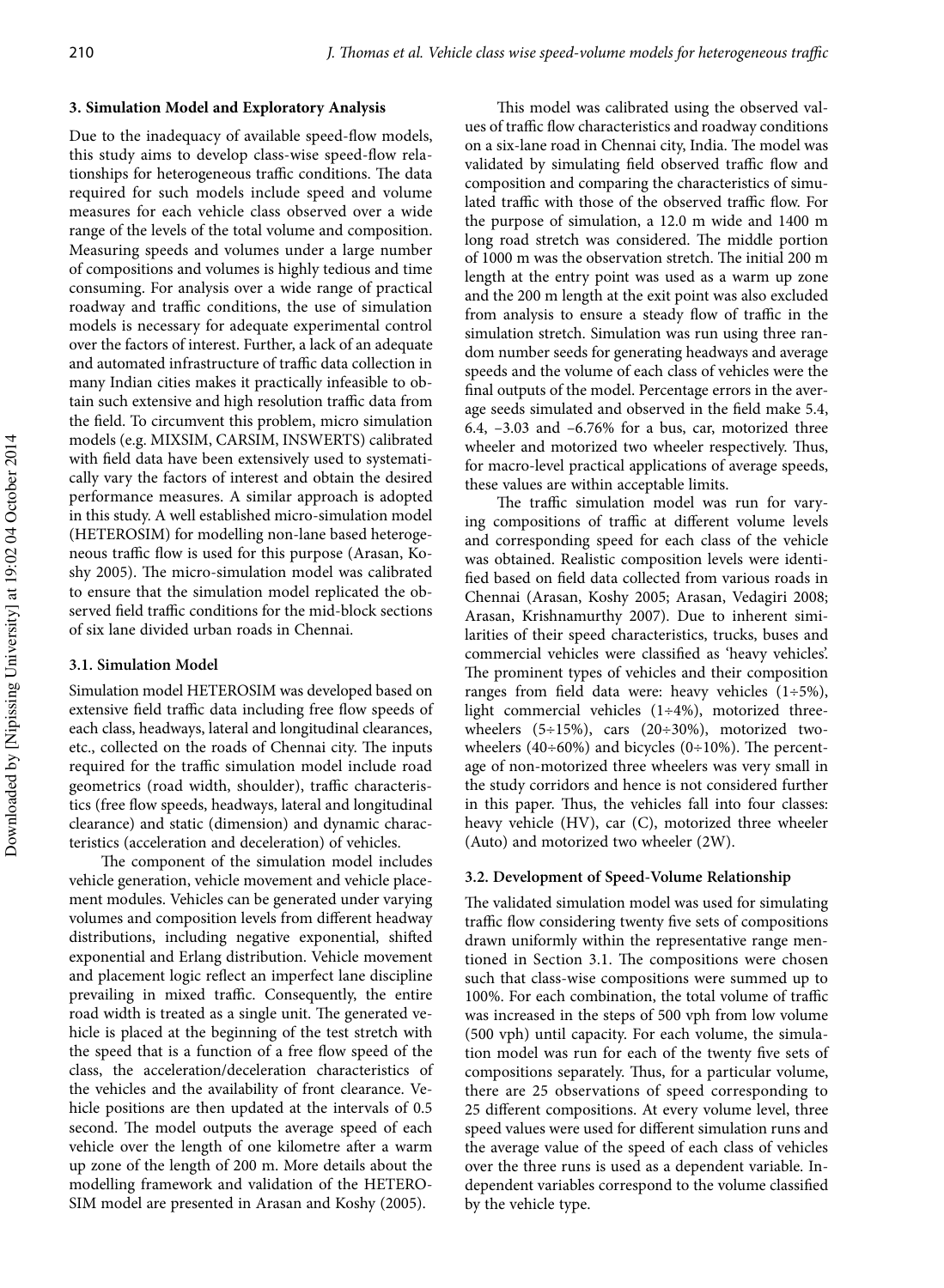# **3. Simulation model and Exploratory Analysis**

Due to the inadequacy of available speed-flow models, this study aims to develop class-wise speed-flow relationships for heterogeneous traffic conditions. The data required for such models include speed and volume measures for each vehicle class observed over a wide range of the levels of the total volume and composition. Measuring speeds and volumes under a large number of compositions and volumes is highly tedious and time consuming. For analysis over a wide range of practical roadway and traffic conditions, the use of simulation models is necessary for adequate experimental control over the factors of interest. Further, a lack of an adequate and automated infrastructure of traffic data collection in many Indian cities makes it practically infeasible to obtain such extensive and high resolution traffic data from the field. To circumvent this problem, micro simulation models (e.g. MIXSIM, CARSIM, INSWERTS) calibrated with field data have been extensively used to systematically vary the factors of interest and obtain the desired performance measures. A similar approach is adopted in this study. A well established micro-simulation model (HETEROSIM) for modelling non-lane based heterogeneous traffic flow is used for this purpose (Arasan, Koshy 2005). The micro-simulation model was calibrated to ensure that the simulation model replicated the observed field traffic conditions for the mid-block sections of six lane divided urban roads in Chennai.

## **3.1. Simulation Model**

Simulation model HETEROSIM was developed based on extensive field traffic data including free flow speeds of each class, headways, lateral and longitudinal clearances, etc., collected on the roads of Chennai city. The inputs required for the traffic simulation model include road geometrics (road width, shoulder), traffic characteristics (free flow speeds, headways, lateral and longitudinal clearance) and static (dimension) and dynamic characteristics (acceleration and deceleration) of vehicles.

The component of the simulation model includes vehicle generation, vehicle movement and vehicle placement modules. Vehicles can be generated under varying volumes and composition levels from different headway distributions, including negative exponential, shifted exponential and Erlang distribution. Vehicle movement and placement logic reflect an imperfect lane discipline prevailing in mixed traffic. Consequently, the entire road width is treated as a single unit. The generated vehicle is placed at the beginning of the test stretch with the speed that is a function of a free flow speed of the class, the acceleration/deceleration characteristics of the vehicles and the availability of front clearance. Vehicle positions are then updated at the intervals of 0.5 second. The model outputs the average speed of each vehicle over the length of one kilometre after a warm up zone of the length of 200 m. More details about the modelling framework and validation of the HETERO-SIM model are presented in Arasan and Koshy (2005).

This model was calibrated using the observed values of traffic flow characteristics and roadway conditions on a six-lane road in Chennai city, India. The model was validated by simulating field observed traffic flow and composition and comparing the characteristics of simulated traffic with those of the observed traffic flow. For the purpose of simulation, a 12.0 m wide and 1400 m long road stretch was considered. The middle portion of 1000 m was the observation stretch. The initial 200 m length at the entry point was used as a warm up zone and the 200 m length at the exit point was also excluded from analysis to ensure a steady flow of traffic in the simulation stretch. Simulation was run using three random number seeds for generating headways and average speeds and the volume of each class of vehicles were the final outputs of the model. Percentage errors in the average seeds simulated and observed in the field make 5.4, 6.4, –3.03 and –6.76% for a bus, car, motorized three wheeler and motorized two wheeler respectively. Thus, for macro-level practical applications of average speeds, these values are within acceptable limits.

The traffic simulation model was run for varying compositions of traffic at different volume levels and corresponding speed for each class of the vehicle was obtained. Realistic composition levels were identified based on field data collected from various roads in Chennai (Arasan, Koshy 2005; Arasan, Vedagiri 2008; Arasan, Krishnamurthy 2007). Due to inherent similarities of their speed characteristics, trucks, buses and commercial vehicles were classified as 'heavy vehicles'. The prominent types of vehicles and their composition ranges from field data were: heavy vehicles (1÷5%), light commercial vehicles (1÷4%), motorized threewheelers (5÷15%), cars (20÷30%), motorized twowheelers (40÷60%) and bicycles (0÷10%). The percentage of non-motorized three wheelers was very small in the study corridors and hence is not considered further in this paper. Thus, the vehicles fall into four classes: heavy vehicle (HV), car (C), motorized three wheeler (Auto) and motorized two wheeler (2W).

# **3.2. Development of Speed-Volume Relationship**

The validated simulation model was used for simulating traffic flow considering twenty five sets of compositions drawn uniformly within the representative range mentioned in Section 3.1. The compositions were chosen such that class-wise compositions were summed up to 100%. For each combination, the total volume of traffic was increased in the steps of 500 vph from low volume (500 vph) until capacity. For each volume, the simulation model was run for each of the twenty five sets of compositions separately. Thus, for a particular volume, there are 25 observations of speed corresponding to 25 different compositions. At every volume level, three speed values were used for different simulation runs and the average value of the speed of each class of vehicles over the three runs is used as a dependent variable. Independent variables correspond to the volume classified by the vehicle type.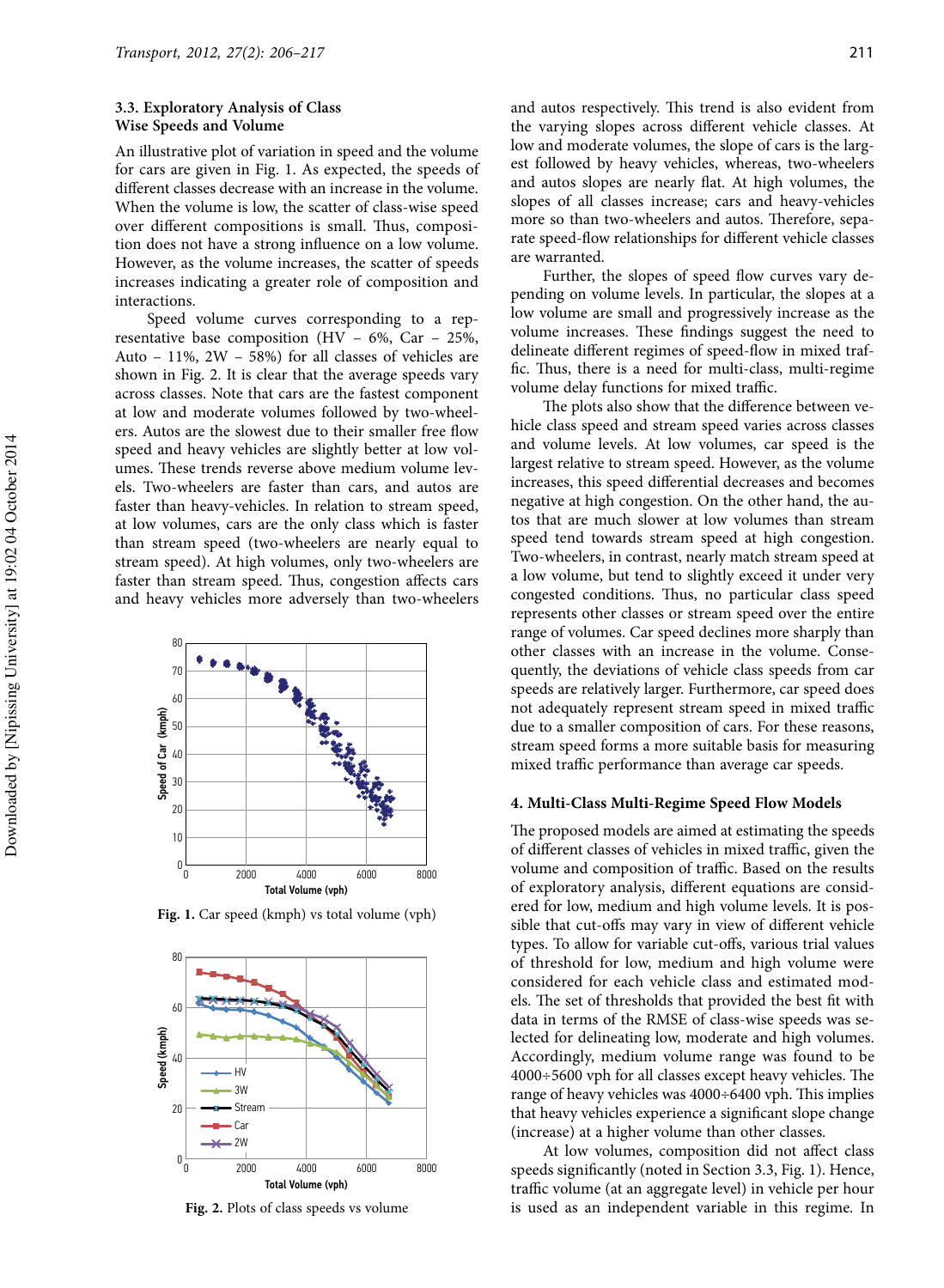# **3.3. Exploratory Analysis of Class Wise Speeds and Volume**

An illustrative plot of variation in speed and the volume for cars are given in Fig. 1. As expected, the speeds of different classes decrease with an increase in the volume. When the volume is low, the scatter of class-wise speed over different compositions is small. Thus, composition does not have a strong influence on a low volume. However, as the volume increases, the scatter of speeds increases indicating a greater role of composition and interactions.

Speed volume curves corresponding to a representative base composition (HV  $-6\%$ , Car  $-25\%$ , Auto -  $11\%$ ,  $2W - 58\%$  for all classes of vehicles are shown in Fig. 2. It is clear that the average speeds vary across classes. Note that cars are the fastest component at low and moderate volumes followed by two-wheelers. Autos are the slowest due to their smaller free flow speed and heavy vehicles are slightly better at low volumes. These trends reverse above medium volume levels. Two-wheelers are faster than cars, and autos are faster than heavy-vehicles. In relation to stream speed, at low volumes, cars are the only class which is faster than stream speed (two-wheelers are nearly equal to stream speed). At high volumes, only two-wheelers are faster than stream speed. Thus, congestion affects cars and heavy vehicles more adversely than two-wheelers



Fig. 1. Car speed (kmph) vs total volume (vph)



**Fig. 2.** Plots of class speeds vs volume

and autos respectively. This trend is also evident from the varying slopes across different vehicle classes. At low and moderate volumes, the slope of cars is the largest followed by heavy vehicles, whereas, two-wheelers and autos slopes are nearly flat. At high volumes, the slopes of all classes increase; cars and heavy-vehicles more so than two-wheelers and autos. Therefore, separate speed-flow relationships for different vehicle classes are warranted.

Further, the slopes of speed flow curves vary depending on volume levels. In particular, the slopes at a low volume are small and progressively increase as the volume increases. These findings suggest the need to delineate different regimes of speed-flow in mixed traffic. Thus, there is a need for multi-class, multi-regime volume delay functions for mixed traffic.

The plots also show that the difference between vehicle class speed and stream speed varies across classes and volume levels. At low volumes, car speed is the largest relative to stream speed. However, as the volume increases, this speed differential decreases and becomes negative at high congestion. On the other hand, the autos that are much slower at low volumes than stream speed tend towards stream speed at high congestion. Two-wheelers, in contrast, nearly match stream speed at a low volume, but tend to slightly exceed it under very congested conditions. Thus, no particular class speed represents other classes or stream speed over the entire range of volumes. Car speed declines more sharply than other classes with an increase in the volume. Consequently, the deviations of vehicle class speeds from car speeds are relatively larger. Furthermore, car speed does not adequately represent stream speed in mixed traffic due to a smaller composition of cars. For these reasons, stream speed forms a more suitable basis for measuring mixed traffic performance than average car speeds.

# **4. multi-class multi-Regime Speed Flow models**

The proposed models are aimed at estimating the speeds of different classes of vehicles in mixed traffic, given the volume and composition of traffic. Based on the results of exploratory analysis, different equations are considered for low, medium and high volume levels. It is possible that cut-offs may vary in view of different vehicle types. To allow for variable cut-offs, various trial values of threshold for low, medium and high volume were considered for each vehicle class and estimated models. The set of thresholds that provided the best fit with data in terms of the RMSE of class-wise speeds was selected for delineating low, moderate and high volumes. Accordingly, medium volume range was found to be 4000÷5600 vph for all classes except heavy vehicles. The range of heavy vehicles was 4000÷6400 vph. This implies that heavy vehicles experience a significant slope change (increase) at a higher volume than other classes.

At low volumes, composition did not affect class speeds significantly (noted in Section 3.3, Fig. 1). Hence, traffic volume (at an aggregate level) in vehicle per hour is used as an independent variable in this regime. In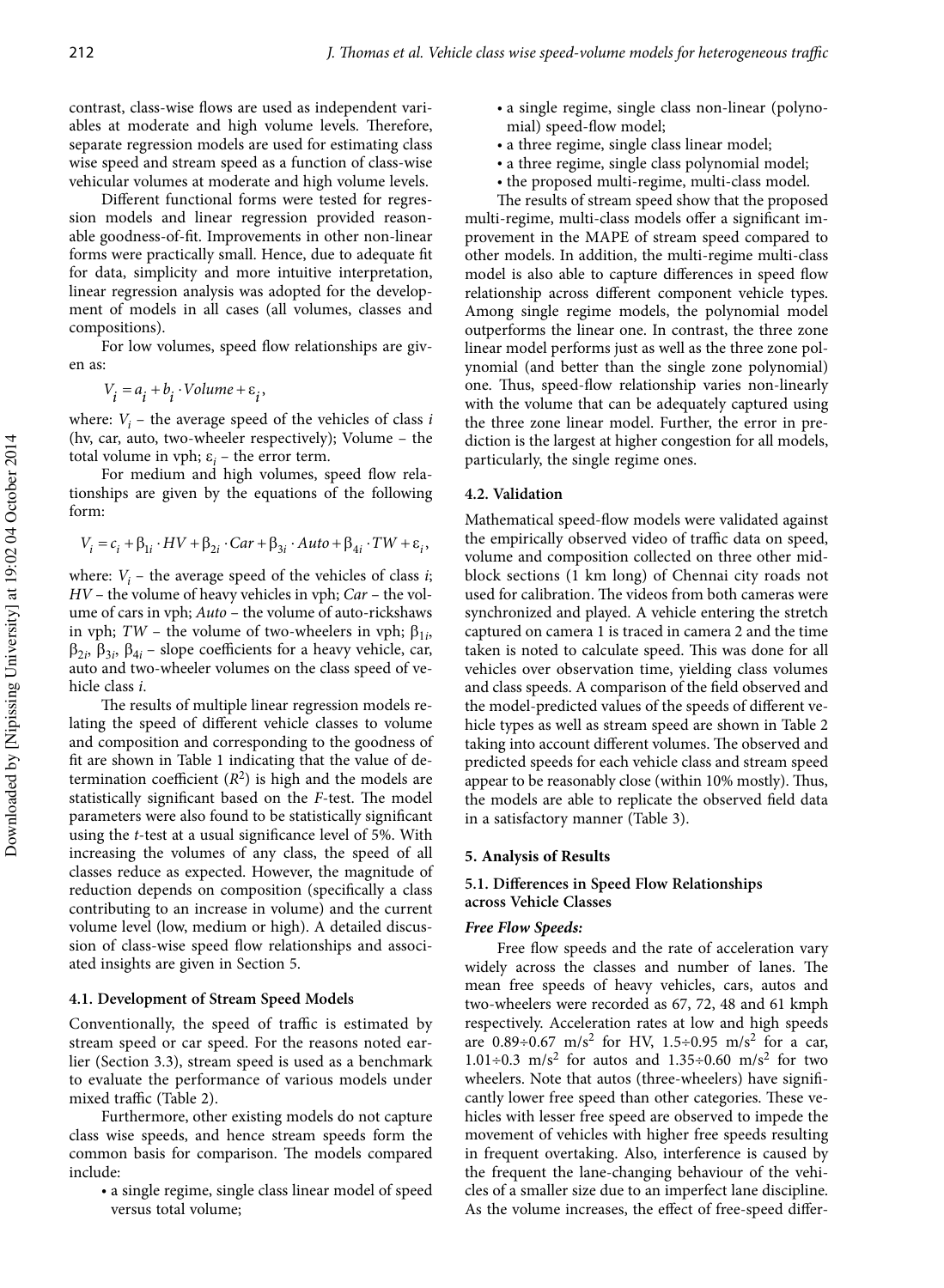contrast, class-wise flows are used as independent variables at moderate and high volume levels. Therefore, separate regression models are used for estimating class wise speed and stream speed as a function of class-wise vehicular volumes at moderate and high volume levels.

Different functional forms were tested for regression models and linear regression provided reasonable goodness-of-fit. Improvements in other non-linear forms were practically small. Hence, due to adequate fit for data, simplicity and more intuitive interpretation, linear regression analysis was adopted for the development of models in all cases (all volumes, classes and compositions).

For low volumes, speed flow relationships are given as:

$$
V_i = a_i + b_i \cdot Volume + \varepsilon_i,
$$

where:  $V_i$  – the average speed of the vehicles of class *i* (hv, car, auto, two-wheeler respectively); Volume – the total volume in vph;  $\varepsilon_i$  – the error term.

For medium and high volumes, speed flow relationships are given by the equations of the following form:

$$
V_i = c_i + \beta_{1i} \cdot HV + \beta_{2i} \cdot Car + \beta_{3i} \cdot Auto + \beta_{4i} \cdot TW + \varepsilon_i,
$$

where:  $V_i$  – the average speed of the vehicles of class *i*;  $HV$  – the volume of heavy vehicles in vph;  $Car$  – the volume of cars in vph; Auto – the volume of auto-rickshaws in vph;  $TW$  – the volume of two-wheelers in vph;  $\beta_{1i}$ ,  $\beta_{2i}$ ,  $\beta_{3i}$ ,  $\beta_{4i}$  – slope coefficients for a heavy vehicle, car, auto and two-wheeler volumes on the class speed of vehicle class i.

The results of multiple linear regression models relating the speed of different vehicle classes to volume and composition and corresponding to the goodness of fit are shown in Table 1 indicating that the value of determination coefficient  $(R^2)$  is high and the models are statistically significant based on the F-test. The model parameters were also found to be statistically significant using the t-test at a usual significance level of 5%. With increasing the volumes of any class, the speed of all classes reduce as expected. However, the magnitude of reduction depends on composition (specifically a class contributing to an increase in volume) and the current volume level (low, medium or high). A detailed discussion of class-wise speed flow relationships and associated insights are given in Section 5.

#### **4.1. Development of Stream Speed Models**

Conventionally, the speed of traffic is estimated by stream speed or car speed. For the reasons noted earlier (Section 3.3), stream speed is used as a benchmark to evaluate the performance of various models under mixed traffic (Table 2).

Furthermore, other existing models do not capture class wise speeds, and hence stream speeds form the common basis for comparison. The models compared include:

• a single regime, single class linear model of speed versus total volume;

- • a single regime, single class non-linear (polynomial) speed-flow model;
- a three regime, single class linear model;
- • a three regime, single class polynomial model;
- • the proposed multi-regime, multi-class model.
- The results of stream speed show that the proposed

multi-regime, multi-class models offer a significant improvement in the MAPE of stream speed compared to other models. In addition, the multi-regime multi-class model is also able to capture differences in speed flow relationship across different component vehicle types. Among single regime models, the polynomial model outperforms the linear one. In contrast, the three zone linear model performs just as well as the three zone polynomial (and better than the single zone polynomial) one. Thus, speed-flow relationship varies non-linearly with the volume that can be adequately captured using the three zone linear model. Further, the error in prediction is the largest at higher congestion for all models, particularly, the single regime ones.

## **4.2. Validation**

Mathematical speed-flow models were validated against the empirically observed video of traffic data on speed, volume and composition collected on three other midblock sections (1 km long) of Chennai city roads not used for calibration. The videos from both cameras were synchronized and played. A vehicle entering the stretch captured on camera 1 is traced in camera 2 and the time taken is noted to calculate speed. This was done for all vehicles over observation time, yielding class volumes and class speeds. A comparison of the field observed and the model-predicted values of the speeds of different vehicle types as well as stream speed are shown in Table 2 taking into account different volumes. The observed and predicted speeds for each vehicle class and stream speed appear to be reasonably close (within 10% mostly). Thus, the models are able to replicate the observed field data in a satisfactory manner (Table 3).

#### **5. Analysis of Results**

# **5.1. Differences in Speed Flow Relationships across Vehicle Classes**

#### *Free Flow Speeds:*

Free flow speeds and the rate of acceleration vary widely across the classes and number of lanes. The mean free speeds of heavy vehicles, cars, autos and two-wheelers were recorded as 67, 72, 48 and 61 kmph respectively. Acceleration rates at low and high speeds are  $0.89 \div 0.67$  m/s<sup>2</sup> for HV,  $1.5 \div 0.95$  m/s<sup>2</sup> for a car, 1.01÷0.3 m/s<sup>2</sup> for autos and 1.35÷0.60 m/s<sup>2</sup> for two wheelers. Note that autos (three-wheelers) have significantly lower free speed than other categories. These vehicles with lesser free speed are observed to impede the movement of vehicles with higher free speeds resulting in frequent overtaking. Also, interference is caused by the frequent the lane-changing behaviour of the vehicles of a smaller size due to an imperfect lane discipline. As the volume increases, the effect of free-speed differ-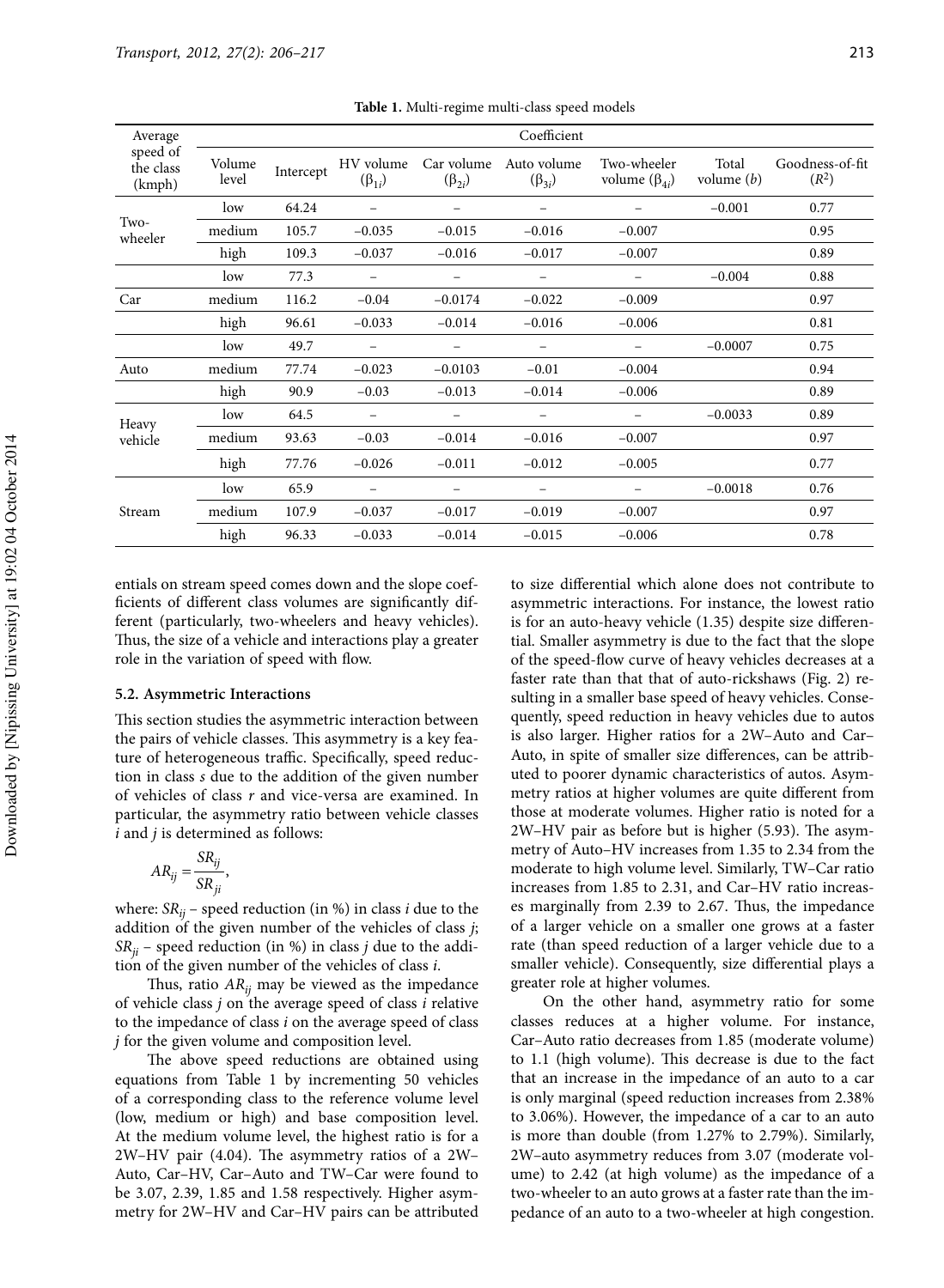| Average<br>speed of<br>the class<br>(kmph) | Coefficient     |           |                             |                              |                               |                                      |                       |                            |  |  |  |  |
|--------------------------------------------|-----------------|-----------|-----------------------------|------------------------------|-------------------------------|--------------------------------------|-----------------------|----------------------------|--|--|--|--|
|                                            | Volume<br>level | Intercept | HV volume<br>$(\beta_{1i})$ | Car volume<br>$(\beta_{2i})$ | Auto volume<br>$(\beta_{3i})$ | Two-wheeler<br>volume $(\beta_{4i})$ | Total<br>volume $(b)$ | Goodness-of-fit<br>$(R^2)$ |  |  |  |  |
|                                            | low             | 64.24     |                             |                              |                               |                                      | $-0.001$              | 0.77                       |  |  |  |  |
| Two-<br>wheeler                            | medium          | 105.7     | $-0.035$                    | $-0.015$                     | $-0.016$                      | $-0.007$                             |                       | 0.95                       |  |  |  |  |
|                                            | high            | 109.3     | $-0.037$                    | $-0.016$                     | $-0.017$                      | $-0.007$                             |                       | 0.89                       |  |  |  |  |
|                                            | low             | 77.3      |                             |                              | -                             |                                      | $-0.004$              | 0.88                       |  |  |  |  |
| Car                                        | medium          | 116.2     | $-0.04$                     | $-0.0174$                    | $-0.022$                      | $-0.009$                             |                       | 0.97                       |  |  |  |  |
|                                            | high            | 96.61     | $-0.033$                    | $-0.014$                     | $-0.016$                      | $-0.006$                             |                       | 0.81                       |  |  |  |  |
|                                            | low             | 49.7      | $\overline{\phantom{0}}$    |                              | $\qquad \qquad -$             |                                      | $-0.0007$             | 0.75                       |  |  |  |  |
| Auto                                       | medium          | 77.74     | $-0.023$                    | $-0.0103$                    | $-0.01$                       | $-0.004$                             |                       | 0.94                       |  |  |  |  |
|                                            | high            | 90.9      | $-0.03$                     | $-0.013$                     | $-0.014$                      | $-0.006$                             |                       | 0.89                       |  |  |  |  |
| Heavy                                      | low             | 64.5      |                             |                              |                               |                                      | $-0.0033$             | 0.89                       |  |  |  |  |
| vehicle                                    | medium          | 93.63     | $-0.03$                     | $-0.014$                     | $-0.016$                      | $-0.007$                             |                       | 0.97                       |  |  |  |  |
|                                            | high            | 77.76     | $-0.026$                    | $-0.011$                     | $-0.012$                      | $-0.005$                             |                       | 0.77                       |  |  |  |  |
|                                            | low             | 65.9      |                             |                              |                               |                                      | $-0.0018$             | 0.76                       |  |  |  |  |
| Stream                                     | medium          | 107.9     | $-0.037$                    | $-0.017$                     | $-0.019$                      | $-0.007$                             |                       | 0.97                       |  |  |  |  |
|                                            | high            | 96.33     | $-0.033$                    | $-0.014$                     | $-0.015$                      | $-0.006$                             |                       | 0.78                       |  |  |  |  |

**Table 1.** Multi-regime multi-class speed models

entials on stream speed comes down and the slope coefficients of different class volumes are significantly different (particularly, two-wheelers and heavy vehicles). Thus, the size of a vehicle and interactions play a greater role in the variation of speed with flow.

#### **5.2. Asymmetric Interactions**

This section studies the asymmetric interaction between the pairs of vehicle classes. This asymmetry is a key feature of heterogeneous traffic. Specifically, speed reduction in class s due to the addition of the given number of vehicles of class r and vice-versa are examined. In particular, the asymmetry ratio between vehicle classes  $i$  and  $j$  is determined as follows:

$$
AR_{ij} = \frac{SR_{ij}}{SR_{ji}},
$$

where:  $SR_{ij}$  – speed reduction (in %) in class *i* due to the addition of the given number of the vehicles of class j;  $SR_{ii}$  – speed reduction (in %) in class *j* due to the addition of the given number of the vehicles of class i.

Thus, ratio  $AR_{ij}$  may be viewed as the impedance of vehicle class  $j$  on the average speed of class  $i$  relative to the impedance of class  $i$  on the average speed of class j for the given volume and composition level.

The above speed reductions are obtained using equations from Table 1 by incrementing 50 vehicles of a corresponding class to the reference volume level (low, medium or high) and base composition level. At the medium volume level, the highest ratio is for a 2W–HV pair (4.04). The asymmetry ratios of a 2W– Auto, Car–HV, Car–Auto and TW–Car were found to be 3.07, 2.39, 1.85 and 1.58 respectively. Higher asymmetry for 2W–HV and Car–HV pairs can be attributed to size differential which alone does not contribute to asymmetric interactions. For instance, the lowest ratio is for an auto-heavy vehicle (1.35) despite size differential. Smaller asymmetry is due to the fact that the slope of the speed-flow curve of heavy vehicles decreases at a faster rate than that that of auto-rickshaws (Fig. 2) resulting in a smaller base speed of heavy vehicles. Consequently, speed reduction in heavy vehicles due to autos is also larger. Higher ratios for a 2W–Auto and Car– Auto, in spite of smaller size differences, can be attributed to poorer dynamic characteristics of autos. Asymmetry ratios at higher volumes are quite different from those at moderate volumes. Higher ratio is noted for a 2W–HV pair as before but is higher (5.93). The asymmetry of Auto–HV increases from 1.35 to 2.34 from the moderate to high volume level. Similarly, TW–Car ratio increases from 1.85 to 2.31, and Car–HV ratio increases marginally from 2.39 to 2.67. Thus, the impedance of a larger vehicle on a smaller one grows at a faster rate (than speed reduction of a larger vehicle due to a smaller vehicle). Consequently, size differential plays a greater role at higher volumes.

On the other hand, asymmetry ratio for some classes reduces at a higher volume. For instance, Car–Auto ratio decreases from 1.85 (moderate volume) to 1.1 (high volume). This decrease is due to the fact that an increase in the impedance of an auto to a car is only marginal (speed reduction increases from 2.38% to 3.06%). However, the impedance of a car to an auto is more than double (from 1.27% to 2.79%). Similarly, 2W–auto asymmetry reduces from 3.07 (moderate volume) to 2.42 (at high volume) as the impedance of a two-wheeler to an auto grows at a faster rate than the impedance of an auto to a two-wheeler at high congestion.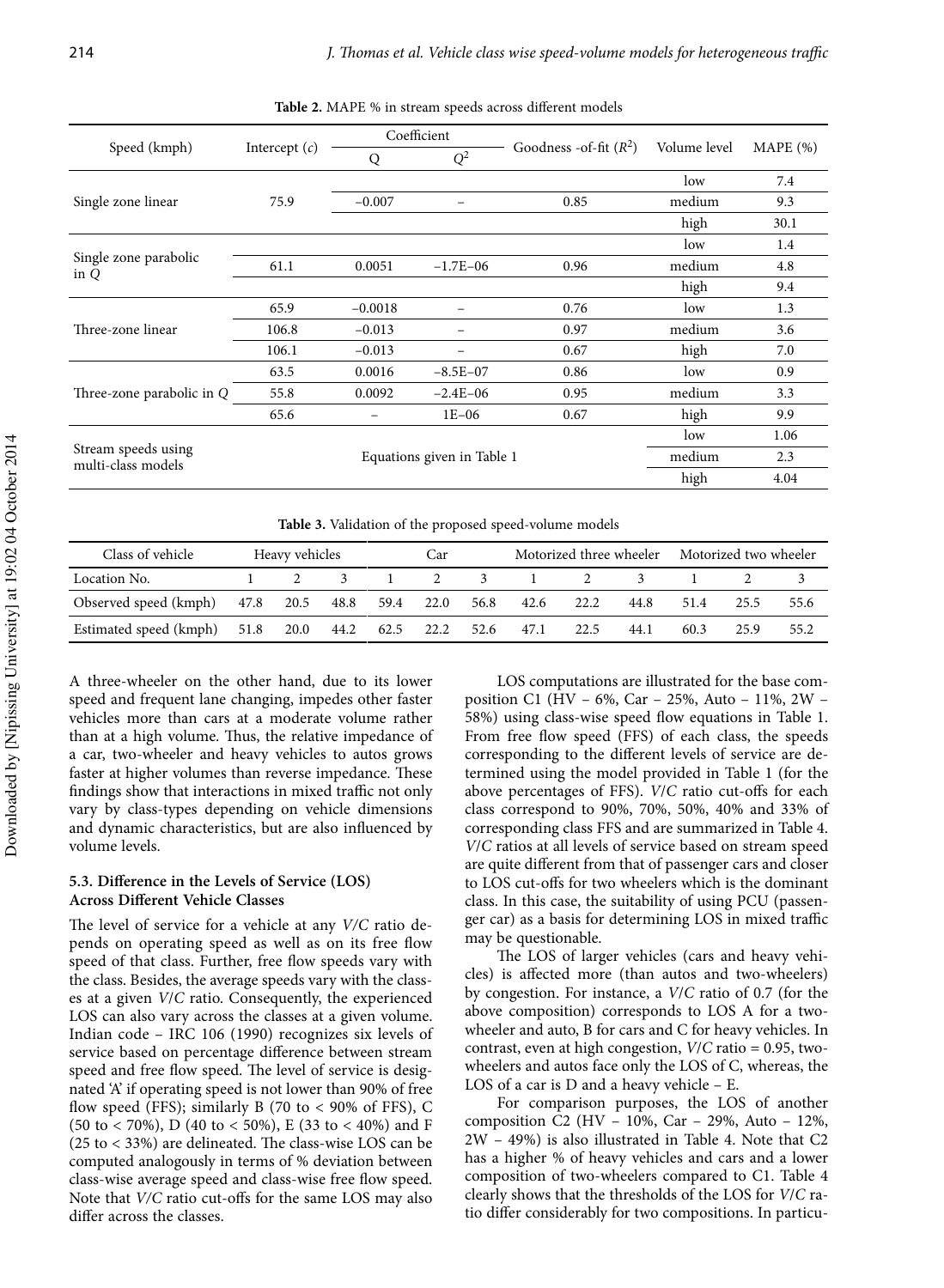|                                           |                 |                            | Coefficient  |                          |                                                                                                                                                                                    |      |  |
|-------------------------------------------|-----------------|----------------------------|--------------|--------------------------|------------------------------------------------------------------------------------------------------------------------------------------------------------------------------------|------|--|
| Speed (kmph)                              | Intercept $(c)$ | $Q^2$<br>Q                 |              | Goodness -of-fit $(R^2)$ |                                                                                                                                                                                    |      |  |
|                                           |                 |                            |              |                          | low                                                                                                                                                                                | 7.4  |  |
| Single zone linear                        | 75.9            | $-0.007$                   |              | 0.85                     | medium                                                                                                                                                                             | 9.3  |  |
|                                           |                 |                            |              |                          | high                                                                                                                                                                               | 30.1 |  |
|                                           |                 |                            |              |                          | low                                                                                                                                                                                | 1.4  |  |
| Single zone parabolic<br>in Q             | 61.1            | 0.0051                     | $-1.7E-06$   | 0.96                     | medium                                                                                                                                                                             | 4.8  |  |
|                                           |                 |                            |              |                          | Volume level<br>MAPE(%)<br>high<br>9.4<br>1.3<br>low<br>medium<br>3.6<br>high<br>7.0<br>low<br>0.9<br>medium<br>3.3<br>high<br>9.9<br>1.06<br>low<br>medium<br>2.3<br>high<br>4.04 |      |  |
|                                           | 65.9            | $-0.0018$                  | -            | 0.76                     |                                                                                                                                                                                    |      |  |
| Three-zone linear                         | 106.8           | $-0.013$                   |              | 0.97                     |                                                                                                                                                                                    |      |  |
|                                           | 106.1           | $-0.013$                   | 0.67         |                          |                                                                                                                                                                                    |      |  |
|                                           | 63.5            | 0.0016                     | $-8.5E - 07$ | 0.86                     |                                                                                                                                                                                    |      |  |
| Three-zone parabolic in Q                 | 55.8            | 0.0092                     | $-2.4E-06$   | 0.95                     |                                                                                                                                                                                    |      |  |
|                                           | 65.6            |                            | $1E-06$      | 0.67                     |                                                                                                                                                                                    |      |  |
|                                           |                 |                            |              |                          |                                                                                                                                                                                    |      |  |
| Stream speeds using<br>multi-class models |                 | Equations given in Table 1 |              |                          |                                                                                                                                                                                    |      |  |
|                                           |                 |                            |              |                          |                                                                                                                                                                                    |      |  |

**Table 2.** MAPE % in stream speeds across different models

**Table 3.** Validation of the proposed speed-volume models

| Class of vehicle                | Heavy vehicles |      | Car  |           | Motorized three wheeler |      |      | Motorized two wheeler |               |      |      |      |
|---------------------------------|----------------|------|------|-----------|-------------------------|------|------|-----------------------|---------------|------|------|------|
| Location No.                    |                |      | 3.   |           |                         | 2 3  |      | $\overline{2}$        | $\mathcal{L}$ |      |      |      |
| Observed speed (kmph) 47.8 20.5 |                |      | 48.8 | 59.4 22.0 |                         | 56.8 | 42.6 | 22.2                  | 44.8          | 51.4 | 25.5 | 55.6 |
| Estimated speed (kmph)          | 51.8           | 20.0 | 44.2 | 62.5      | 22.2                    | 52.6 | 47.1 | 22.5                  | 44.1          | 60.3 | 25.9 | 55.2 |

A three-wheeler on the other hand, due to its lower speed and frequent lane changing, impedes other faster vehicles more than cars at a moderate volume rather than at a high volume. Thus, the relative impedance of a car, two-wheeler and heavy vehicles to autos grows faster at higher volumes than reverse impedance. These findings show that interactions in mixed traffic not only vary by class-types depending on vehicle dimensions and dynamic characteristics, but are also influenced by volume levels.

# **5.3. Difference in the Levels of Service (LOS) Across Different Vehicle Classes**

The level of service for a vehicle at any V/C ratio depends on operating speed as well as on its free flow speed of that class. Further, free flow speeds vary with the class. Besides, the average speeds vary with the classes at a given V/C ratio. Consequently, the experienced LOS can also vary across the classes at a given volume. Indian code – IRC 106 (1990) recognizes six levels of service based on percentage difference between stream speed and free flow speed. The level of service is designated 'A' if operating speed is not lower than 90% of free flow speed (FFS); similarly B (70 to  $<$  90% of FFS), C (50 to < 70%), D (40 to < 50%), E (33 to < 40%) and F (25 to < 33%) are delineated. The class-wise LOS can be computed analogously in terms of % deviation between class-wise average speed and class-wise free flow speed. Note that V/C ratio cut-offs for the same LOS may also differ across the classes.

LOS computations are illustrated for the base composition C1 (HV – 6%, Car – 25%, Auto – 11%, 2W – 58%) using class-wise speed flow equations in Table 1. From free flow speed (FFS) of each class, the speeds corresponding to the different levels of service are determined using the model provided in Table 1 (for the above percentages of FFS). V/C ratio cut-offs for each class correspond to 90%, 70%, 50%, 40% and 33% of corresponding class FFS and are summarized in Table 4. V/C ratios at all levels of service based on stream speed are quite different from that of passenger cars and closer to LOS cut-offs for two wheelers which is the dominant class. In this case, the suitability of using PCU (passenger car) as a basis for determining LOS in mixed traffic may be questionable.

The LOS of larger vehicles (cars and heavy vehicles) is affected more (than autos and two-wheelers) by congestion. For instance, a V/C ratio of 0.7 (for the above composition) corresponds to LOS A for a twowheeler and auto, B for cars and C for heavy vehicles. In contrast, even at high congestion, V/C ratio = 0.95, twowheelers and autos face only the LOS of C, whereas, the LOS of a car is D and a heavy vehicle – E.

For comparison purposes, the LOS of another composition C2 (HV – 10%, Car – 29%, Auto – 12%, 2W – 49%) is also illustrated in Table 4. Note that C2 has a higher % of heavy vehicles and cars and a lower composition of two-wheelers compared to C1. Table 4 clearly shows that the thresholds of the LOS for V/C ratio differ considerably for two compositions. In particu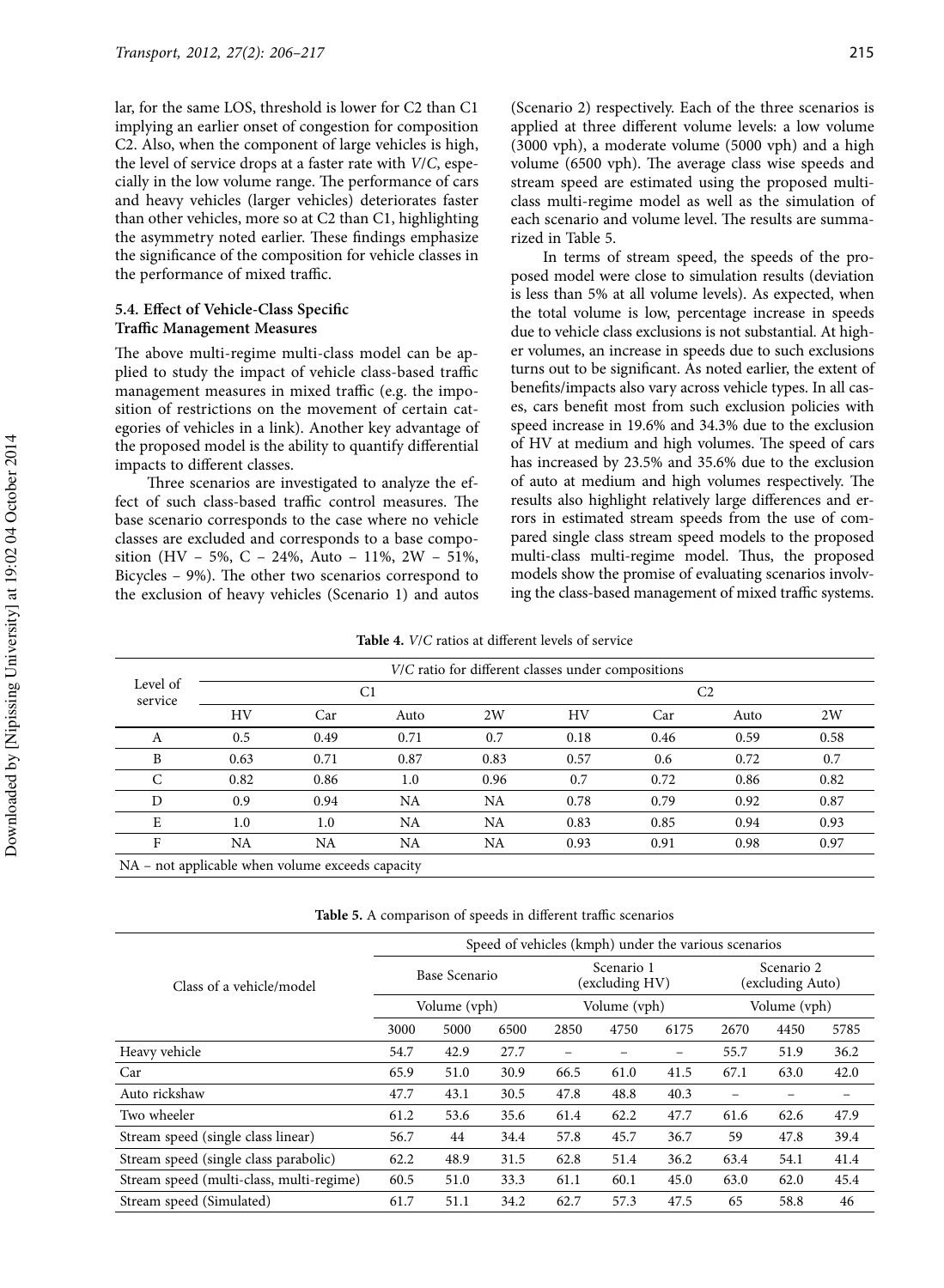lar, for the same LOS, threshold is lower for C2 than C1 implying an earlier onset of congestion for composition C2. Also, when the component of large vehicles is high, the level of service drops at a faster rate with V/C, especially in the low volume range. The performance of cars and heavy vehicles (larger vehicles) deteriorates faster than other vehicles, more so at C2 than C1, highlighting the asymmetry noted earlier. These findings emphasize the significance of the composition for vehicle classes in the performance of mixed traffic.

# **5.4. Effect of Vehicle-Class Specific Traffic Management Measures**

The above multi-regime multi-class model can be applied to study the impact of vehicle class-based traffic management measures in mixed traffic (e.g. the imposition of restrictions on the movement of certain categories of vehicles in a link). Another key advantage of the proposed model is the ability to quantify differential impacts to different classes.

Three scenarios are investigated to analyze the effect of such class-based traffic control measures. The base scenario corresponds to the case where no vehicle classes are excluded and corresponds to a base composition (HV – 5%, C – 24%, Auto – 11%, 2W – 51%, Bicycles – 9%). The other two scenarios correspond to the exclusion of heavy vehicles (Scenario 1) and autos (Scenario 2) respectively. Each of the three scenarios is applied at three different volume levels: a low volume (3000 vph), a moderate volume (5000 vph) and a high volume (6500 vph). The average class wise speeds and stream speed are estimated using the proposed multiclass multi-regime model as well as the simulation of each scenario and volume level. The results are summarized in Table 5.

In terms of stream speed, the speeds of the proposed model were close to simulation results (deviation is less than 5% at all volume levels). As expected, when the total volume is low, percentage increase in speeds due to vehicle class exclusions is not substantial. At higher volumes, an increase in speeds due to such exclusions turns out to be significant. As noted earlier, the extent of benefits/impacts also vary across vehicle types. In all cases, cars benefit most from such exclusion policies with speed increase in 19.6% and 34.3% due to the exclusion of HV at medium and high volumes. The speed of cars has increased by 23.5% and 35.6% due to the exclusion of auto at medium and high volumes respectively. The results also highlight relatively large differences and errors in estimated stream speeds from the use of compared single class stream speed models to the proposed multi-class multi-regime model. Thus, the proposed models show the promise of evaluating scenarios involving the class-based management of mixed traffic systems.

**Table 4.** V/C ratios at different levels of service

| Level of<br>service | V/C ratio for different classes under compositions |      |                |      |                |      |                                                                                           |      |  |  |  |  |
|---------------------|----------------------------------------------------|------|----------------|------|----------------|------|-------------------------------------------------------------------------------------------|------|--|--|--|--|
|                     |                                                    |      | C <sub>1</sub> |      | C <sub>2</sub> |      |                                                                                           |      |  |  |  |  |
|                     | HV                                                 | Car  | Auto           | 2W   | HV             | Car  | 2W<br>Auto<br>0.58<br>0.59<br>0.72<br>0.7<br>0.86<br>0.82<br>0.92<br>0.87<br>0.94<br>0.93 |      |  |  |  |  |
| А                   | 0.5                                                | 0.49 | 0.71           | 0.7  | 0.18           | 0.46 |                                                                                           |      |  |  |  |  |
| B                   | 0.63                                               | 0.71 | 0.87           | 0.83 | 0.57           | 0.6  |                                                                                           |      |  |  |  |  |
| C                   | 0.82                                               | 0.86 | 1.0            | 0.96 | 0.7            | 0.72 |                                                                                           |      |  |  |  |  |
| D                   | 0.9                                                | 0.94 | NA             | NA   | 0.78           | 0.79 |                                                                                           |      |  |  |  |  |
| E                   | 1.0                                                | 1.0  | NA             | NA   | 0.83           | 0.85 |                                                                                           |      |  |  |  |  |
| F                   | NA                                                 | NA   | NA             | NA   | 0.93           | 0.91 | 0.98                                                                                      | 0.97 |  |  |  |  |
|                     | NA – not applicable when volume exceeds capacity   |      |                |      |                |      |                                                                                           |      |  |  |  |  |

**Table 5.** A comparison of speeds in different traffic scenarios

|                                          | Speed of vehicles (kmph) under the various scenarios |      |      |                                              |      |      |                                                |      |      |  |
|------------------------------------------|------------------------------------------------------|------|------|----------------------------------------------|------|------|------------------------------------------------|------|------|--|
| Class of a vehicle/model                 | Base Scenario<br>Volume (vph)                        |      |      | Scenario 1<br>(excluding HV)<br>Volume (vph) |      |      | Scenario 2<br>(excluding Auto)<br>Volume (vph) |      |      |  |
|                                          |                                                      |      |      |                                              |      |      |                                                |      |      |  |
|                                          | 3000                                                 | 5000 | 6500 | 2850                                         | 4750 | 6175 | 2670                                           | 4450 | 5785 |  |
| Heavy vehicle                            | 54.7                                                 | 42.9 | 27.7 |                                              |      |      | 55.7                                           | 51.9 | 36.2 |  |
| Car                                      | 65.9                                                 | 51.0 | 30.9 | 66.5                                         | 61.0 | 41.5 | 67.1                                           | 63.0 | 42.0 |  |
| Auto rickshaw                            | 47.7                                                 | 43.1 | 30.5 | 47.8                                         | 48.8 | 40.3 |                                                |      |      |  |
| Two wheeler                              | 61.2                                                 | 53.6 | 35.6 | 61.4                                         | 62.2 | 47.7 | 61.6                                           | 62.6 | 47.9 |  |
| Stream speed (single class linear)       | 56.7                                                 | 44   | 34.4 | 57.8                                         | 45.7 | 36.7 | 59                                             | 47.8 | 39.4 |  |
| Stream speed (single class parabolic)    | 62.2                                                 | 48.9 | 31.5 | 62.8                                         | 51.4 | 36.2 | 63.4                                           | 54.1 | 41.4 |  |
| Stream speed (multi-class, multi-regime) | 60.5                                                 | 51.0 | 33.3 | 61.1                                         | 60.1 | 45.0 | 63.0                                           | 62.0 | 45.4 |  |
| Stream speed (Simulated)                 | 61.7                                                 | 51.1 | 34.2 | 62.7                                         | 57.3 | 47.5 | 65                                             | 58.8 | 46   |  |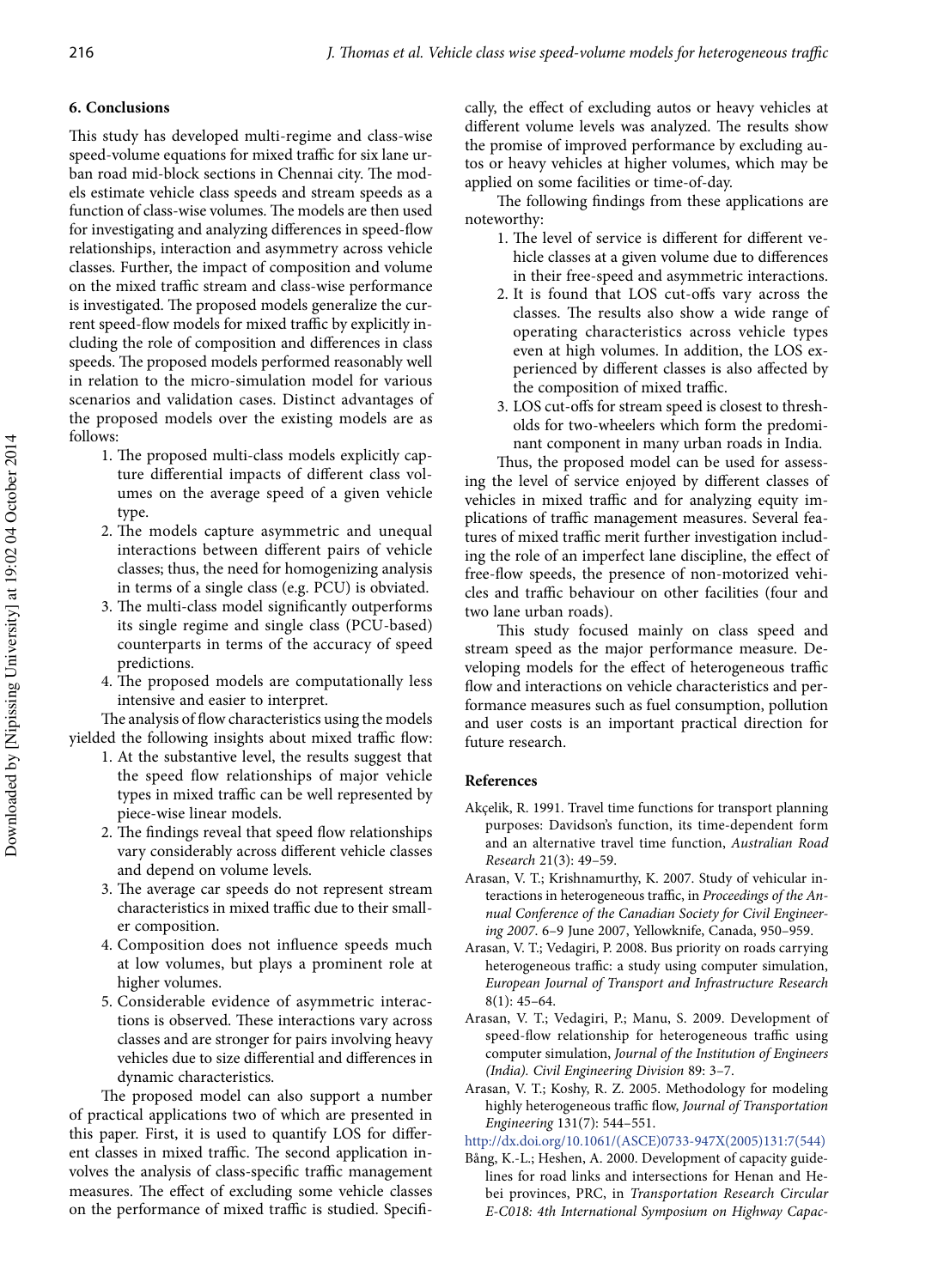# **6. conclusions**

This study has developed multi-regime and class-wise speed-volume equations for mixed traffic for six lane urban road mid-block sections in Chennai city. The models estimate vehicle class speeds and stream speeds as a function of class-wise volumes. The models are then used for investigating and analyzing differences in speed-flow relationships, interaction and asymmetry across vehicle classes. Further, the impact of composition and volume on the mixed traffic stream and class-wise performance is investigated. The proposed models generalize the current speed-flow models for mixed traffic by explicitly including the role of composition and differences in class speeds. The proposed models performed reasonably well in relation to the micro-simulation model for various scenarios and validation cases. Distinct advantages of the proposed models over the existing models are as follows:

- 1. The proposed multi-class models explicitly capture differential impacts of different class volumes on the average speed of a given vehicle type.
- 2. The models capture asymmetric and unequal interactions between different pairs of vehicle classes; thus, the need for homogenizing analysis in terms of a single class (e.g. PCU) is obviated.
- 3. The multi-class model significantly outperforms its single regime and single class (PCU-based) counterparts in terms of the accuracy of speed predictions.
- 4. The proposed models are computationally less intensive and easier to interpret.

The analysis of flow characteristics using the models yielded the following insights about mixed traffic flow:

- 1. At the substantive level, the results suggest that the speed flow relationships of major vehicle types in mixed traffic can be well represented by piece-wise linear models.
- 2. The findings reveal that speed flow relationships vary considerably across different vehicle classes and depend on volume levels.
- 3. The average car speeds do not represent stream characteristics in mixed traffic due to their smaller composition.
- 4. Composition does not influence speeds much at low volumes, but plays a prominent role at higher volumes.
- 5. Considerable evidence of asymmetric interactions is observed. These interactions vary across classes and are stronger for pairs involving heavy vehicles due to size differential and differences in dynamic characteristics.

The proposed model can also support a number of practical applications two of which are presented in this paper. First, it is used to quantify LOS for different classes in mixed traffic. The second application involves the analysis of class-specific traffic management measures. The effect of excluding some vehicle classes on the performance of mixed traffic is studied. Specifically, the effect of excluding autos or heavy vehicles at different volume levels was analyzed. The results show the promise of improved performance by excluding autos or heavy vehicles at higher volumes, which may be applied on some facilities or time-of-day.

The following findings from these applications are noteworthy:

- 1. The level of service is different for different vehicle classes at a given volume due to differences in their free-speed and asymmetric interactions.
- 2. It is found that LOS cut-offs vary across the classes. The results also show a wide range of operating characteristics across vehicle types even at high volumes. In addition, the LOS experienced by different classes is also affected by the composition of mixed traffic.
- 3. LOS cut-offs for stream speed is closest to thresholds for two-wheelers which form the predominant component in many urban roads in India.

Thus, the proposed model can be used for assessing the level of service enjoyed by different classes of vehicles in mixed traffic and for analyzing equity implications of traffic management measures. Several features of mixed traffic merit further investigation including the role of an imperfect lane discipline, the effect of free-flow speeds, the presence of non-motorized vehicles and traffic behaviour on other facilities (four and two lane urban roads).

This study focused mainly on class speed and stream speed as the major performance measure. Developing models for the effect of heterogeneous traffic flow and interactions on vehicle characteristics and performance measures such as fuel consumption, pollution and user costs is an important practical direction for future research.

# **References**

- Akçelik, R. 1991. Travel time functions for transport planning purposes: Davidson's function, its time-dependent form and an alternative travel time function, Australian Road Research 21(3): 49–59.
- Arasan, V. T.; Krishnamurthy, K. 2007. Study of vehicular interactions in heterogeneous traffic, in Proceedings of the Annual Conference of the Canadian Society for Civil Engineering 2007. 6–9 June 2007, Yellowknife, Canada, 950–959.
- Arasan, V. T.; Vedagiri, P. 2008. Bus priority on roads carrying heterogeneous traffic: a study using computer simulation, European Journal of Transport and Infrastructure Research 8(1): 45–64.
- Arasan, V. T.; Vedagiri, P.; Manu, S. 2009. Development of speed-flow relationship for heterogeneous traffic using computer simulation, Journal of the Institution of Engineers (India). Civil Engineering Division 89: 3–7.
- Arasan, V. T.; Koshy, R. Z. 2005. Methodology for modeling highly heterogeneous traffic flow, Journal of Transportation Engineering 131(7): 544–551.

http://dx.doi.org/10.1061/(ASCE)0733-947X(2005)131:7(544)

Bång, K.-L.; Heshen, A. 2000. Development of capacity guidelines for road links and intersections for Henan and Hebei provinces, PRC, in Transportation Research Circular E-C018: 4th International Symposium on Highway Capac